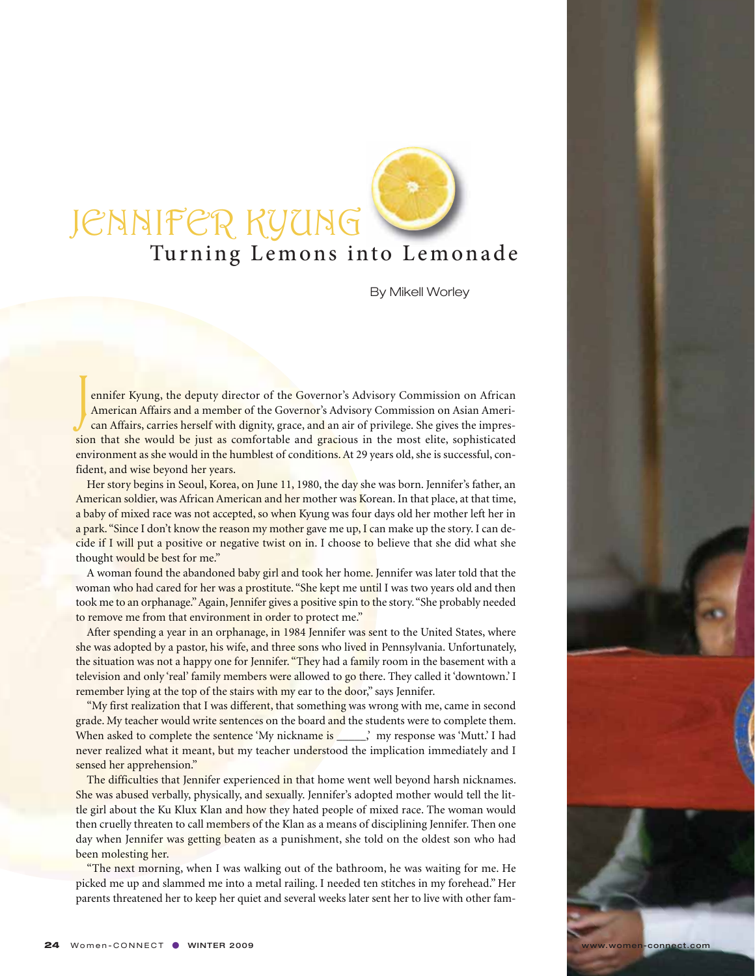## Turning Lemons into Lemonade JENNIFER KYUNG

By Mikell Worley

J ennifer Kyung, the deputy director of the Governor's Advisory Commission on African American Affairs and a member of the Governor's Advisory Commission on Asian American Affairs, carries herself with dignity, grace, and an air of privilege. She gives the impression that she would be just as comfortable and gracious in the most elite, sophisticated environment as she would in the humblest of conditions. At 29 years old, she is successful, confident, and wise beyond her years.

Her story begins in Seoul, Korea, on June 11, 1980, the day she was born. Jennifer's father, an American soldier, was African American and her mother was Korean. In that place, at that time, a baby of mixed race was not accepted, so when Kyung was four days old her mother left her in a park. "Since I don't know the reason my mother gave me up, I can make up the story. I can decide if I will put a positive or negative twist on in. I choose to believe that she did what she thought would be best for me."

A woman found the abandoned baby girl and took her home. Jennifer was later told that the woman who had cared for her was a prostitute. "She kept me until I was two years old and then took me to an orphanage." Again, Jennifer gives a positive spin to the story. "She probably needed to remove me from that environment in order to protect me."

After spending a year in an orphanage, in 1984 Jennifer was sent to the United States, where she was adopted by a pastor, his wife, and three sons who lived in Pennsylvania. Unfortunately, the situation was not a happy one for Jennifer. "They had a family room in the basement with a television and only 'real' family members were allowed to go there. They called it 'downtown.' I remember lying at the top of the stairs with my ear to the door," says Jennifer.

"My first realization that I was different, that something was wrong with me, came in second grade. My teacher would write sentences on the board and the students were to complete them. When asked to complete the sentence 'My nickname is \_\_\_\_\_,' my response was 'Mutt.' I had never realized what it meant, but my teacher understood the implication immediately and I sensed her apprehension."

The difficulties that Jennifer experienced in that home went well beyond harsh nicknames. She was abused verbally, physically, and sexually. Jennifer's adopted mother would tell the little girl about the Ku Klux Klan and how they hated people of mixed race. The woman would then cruelly threaten to call members of the Klan as a means of disciplining Jennifer. Then one day when Jennifer was getting beaten as a punishment, she told on the oldest son who had been molesting her.

"The next morning, when I was walking out of the bathroom, he was waiting for me. He picked me up and slammed me into a metal railing. I needed ten stitches in my forehead." Her parents threatened her to keep her quiet and several weeks later sent her to live with other fam-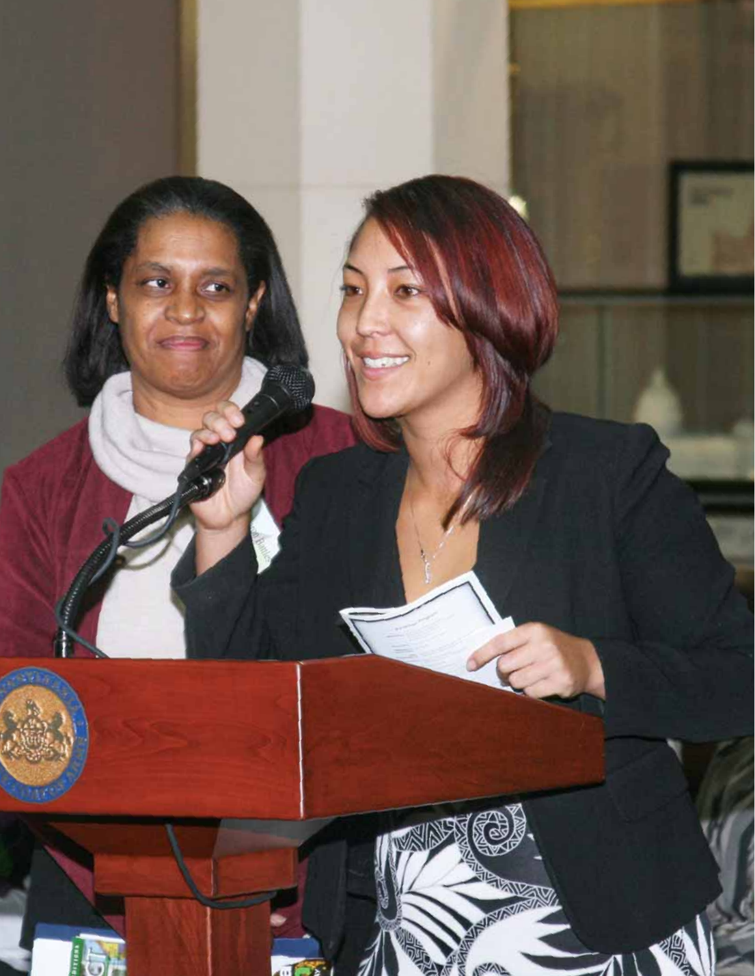